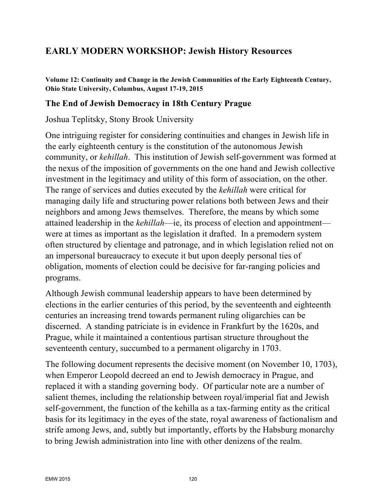# **EARLY MODERN WORKSHOP: Jewish History Resources**

**Volume 12: Continuity and Change in the Jewish Communities of the Early Eighteenth Century, Ohio State University, Columbus, August 17-19, 2015**

### **The End of Jewish Democracy in 18th Century Prague**

Joshua Teplitsky, Stony Brook University

One intriguing register for considering continuities and changes in Jewish life in the early eighteenth century is the constitution of the autonomous Jewish community, or *kehillah*. This institution of Jewish self-government was formed at the nexus of the imposition of governments on the one hand and Jewish collective investment in the legitimacy and utility of this form of association, on the other. The range of services and duties executed by the *kehillah* were critical for managing daily life and structuring power relations both between Jews and their neighbors and among Jews themselves. Therefore, the means by which some attained leadership in the *kehillah*—ie, its process of election and appointment were at times as important as the legislation it drafted. In a premodern system often structured by clientage and patronage, and in which legislation relied not on an impersonal bureaucracy to execute it but upon deeply personal ties of obligation, moments of election could be decisive for far-ranging policies and programs.

Although Jewish communal leadership appears to have been determined by elections in the earlier centuries of this period, by the seventeenth and eighteenth centuries an increasing trend towards permanent ruling oligarchies can be discerned. A standing patriciate is in evidence in Frankfurt by the 1620s, and Prague, while it maintained a contentious partisan structure throughout the seventeenth century, succumbed to a permanent oligarchy in 1703.

The following document represents the decisive moment (on November 10, 1703), when Emperor Leopold decreed an end to Jewish democracy in Prague, and replaced it with a standing governing body. Of particular note are a number of salient themes, including the relationship between royal/imperial fiat and Jewish self-government, the function of the kehilla as a tax-farming entity as the critical basis for its legitimacy in the eyes of the state, royal awareness of factionalism and strife among Jews, and, subtly but importantly, efforts by the Habsburg monarchy to bring Jewish administration into line with other denizens of the realm.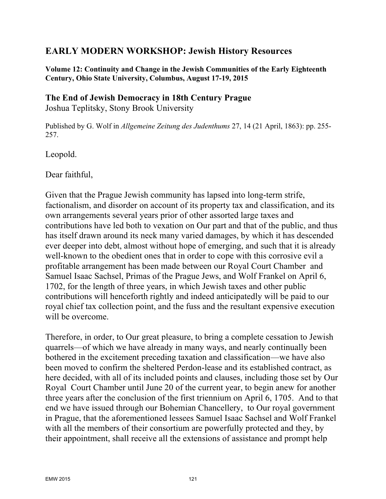## **EARLY MODERN WORKSHOP: Jewish History Resources**

**Volume 12: Continuity and Change in the Jewish Communities of the Early Eighteenth Century, Ohio State University, Columbus, August 17-19, 2015** 

**The End of Jewish Democracy in 18th Century Prague** Joshua Teplitsky, Stony Brook University

Published by G. Wolf in *Allgemeine Zeitung des Judenthums* 27, 14 (21 April, 1863): pp. 255- 257.

Leopold.

Dear faithful,

Given that the Prague Jewish community has lapsed into long-term strife, factionalism, and disorder on account of its property tax and classification, and its own arrangements several years prior of other assorted large taxes and contributions have led both to vexation on Our part and that of the public, and thus has itself drawn around its neck many varied damages, by which it has descended ever deeper into debt, almost without hope of emerging, and such that it is already well-known to the obedient ones that in order to cope with this corrosive evil a profitable arrangement has been made between our Royal Court Chamber and Samuel Isaac Sachsel, Primas of the Prague Jews, and Wolf Frankel on April 6, 1702, for the length of three years, in which Jewish taxes and other public contributions will henceforth rightly and indeed anticipatedly will be paid to our royal chief tax collection point, and the fuss and the resultant expensive execution will be overcome.

Therefore, in order, to Our great pleasure, to bring a complete cessation to Jewish quarrels—of which we have already in many ways, and nearly continually been bothered in the excitement preceding taxation and classification—we have also been moved to confirm the sheltered Perdon-lease and its established contract, as here decided, with all of its included points and clauses, including those set by Our Royal Court Chamber until June 20 of the current year, to begin anew for another three years after the conclusion of the first triennium on April 6, 1705. And to that end we have issued through our Bohemian Chancellery, to Our royal government in Prague, that the aforementioned lessees Samuel Isaac Sachsel and Wolf Frankel with all the members of their consortium are powerfully protected and they, by their appointment, shall receive all the extensions of assistance and prompt help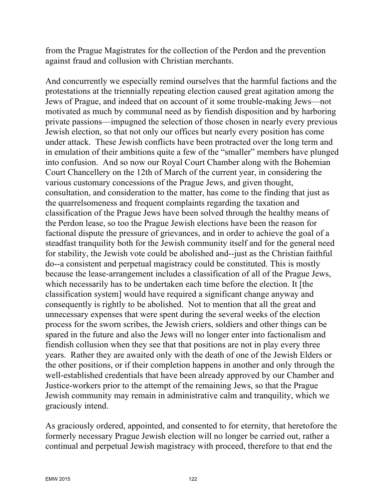from the Prague Magistrates for the collection of the Perdon and the prevention against fraud and collusion with Christian merchants.

And concurrently we especially remind ourselves that the harmful factions and the protestations at the triennially repeating election caused great agitation among the Jews of Prague, and indeed that on account of it some trouble-making Jews—not motivated as much by communal need as by fiendish disposition and by harboring private passions—impugned the selection of those chosen in nearly every previous Jewish election, so that not only our offices but nearly every position has come under attack. These Jewish conflicts have been protracted over the long term and in emulation of their ambitions quite a few of the "smaller" members have plunged into confusion. And so now our Royal Court Chamber along with the Bohemian Court Chancellery on the 12th of March of the current year, in considering the various customary concessions of the Prague Jews, and given thought, consultation, and consideration to the matter, has come to the finding that just as the quarrelsomeness and frequent complaints regarding the taxation and classification of the Prague Jews have been solved through the healthy means of the Perdon lease, so too the Prague Jewish elections have been the reason for factional dispute the pressure of grievances, and in order to achieve the goal of a steadfast tranquility both for the Jewish community itself and for the general need for stability, the Jewish vote could be abolished and--just as the Christian faithful do--a consistent and perpetual magistracy could be constituted. This is mostly because the lease-arrangement includes a classification of all of the Prague Jews, which necessarily has to be undertaken each time before the election. It [the classification system] would have required a significant change anyway and consequently is rightly to be abolished. Not to mention that all the great and unnecessary expenses that were spent during the several weeks of the election process for the sworn scribes, the Jewish criers, soldiers and other things can be spared in the future and also the Jews will no longer enter into factionalism and fiendish collusion when they see that that positions are not in play every three years. Rather they are awaited only with the death of one of the Jewish Elders or the other positions, or if their completion happens in another and only through the well-established credentials that have been already approved by our Chamber and Justice-workers prior to the attempt of the remaining Jews, so that the Prague Jewish community may remain in administrative calm and tranquility, which we graciously intend.

As graciously ordered, appointed, and consented to for eternity, that heretofore the formerly necessary Prague Jewish election will no longer be carried out, rather a continual and perpetual Jewish magistracy with proceed, therefore to that end the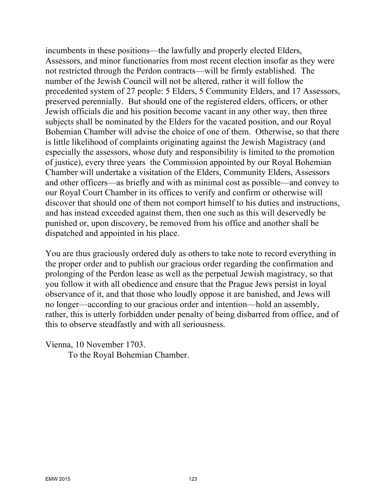incumbents in these positions—the lawfully and properly elected Elders, Assessors, and minor functionaries from most recent election insofar as they were not restricted through the Perdon contracts—will be firmly established. The number of the Jewish Council will not be altered, rather it will follow the precedented system of 27 people: 5 Elders, 5 Community Elders, and 17 Assessors, preserved perennially. But should one of the registered elders, officers, or other Jewish officials die and his position become vacant in any other way, then three subjects shall be nominated by the Elders for the vacated position, and our Royal Bohemian Chamber will advise the choice of one of them. Otherwise, so that there is little likelihood of complaints originating against the Jewish Magistracy (and especially the assessors, whose duty and responsibility is limited to the promotion of justice), every three years the Commission appointed by our Royal Bohemian Chamber will undertake a visitation of the Elders, Community Elders, Assessors and other officers—as briefly and with as minimal cost as possible—and convey to our Royal Court Chamber in its offices to verify and confirm or otherwise will discover that should one of them not comport himself to his duties and instructions, and has instead exceeded against them, then one such as this will deservedly be punished or, upon discovery, be removed from his office and another shall be dispatched and appointed in his place.

You are thus graciously ordered duly as others to take note to record everything in the proper order and to publish our gracious order regarding the confirmation and prolonging of the Perdon lease as well as the perpetual Jewish magistracy, so that you follow it with all obedience and ensure that the Prague Jews persist in loyal observance of it, and that those who loudly oppose it are banished, and Jews will no longer—according to our gracious order and intention—hold an assembly, rather, this is utterly forbidden under penalty of being disbarred from office, and of this to observe steadfastly and with all seriousness.

Vienna, 10 November 1703.

To the Royal Bohemian Chamber.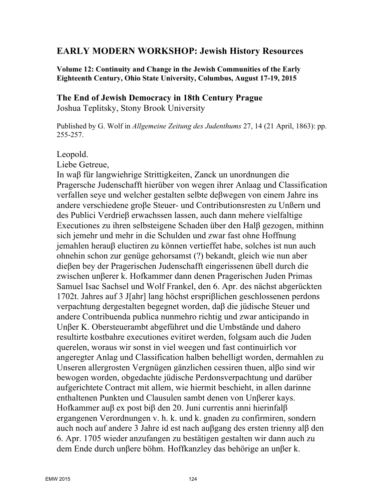### **EARLY MODERN WORKSHOP: Jewish History Resources**

**Volume 12: Continuity and Change in the Jewish Communities of the Early Eighteenth Century, Ohio State University, Columbus, August 17-19, 2015** 

#### **The End of Jewish Democracy in 18th Century Prague**

Joshua Teplitsky, Stony Brook University

Published by G. Wolf in *Allgemeine Zeitung des Judenthums* 27, 14 (21 April, 1863): pp. 255-257.

### Leopold.

Liebe Getreue,

In waβ für langwiehrige Strittigkeiten, Zanck un unordnungen die Pragersche Judenschafft hierüber von wegen ihrer Anlaag und Classification verfallen seye und welcher gestalten selbte deβwegen von einem Jahre ins andere verschiedene groβe Steuer- und Contributionsresten zu Unßern und des Publici Verdrieβ erwachssen lassen, auch dann mehere vielfaltige Executiones zu ihren selbsteigene Schaden über den Halβ gezogen, mithinn sich jemehr und mehr in die Schulden und zwar fast ohne Hoffnung jemahlen herauβ eluctiren zu können vertieffet habe, solches ist nun auch ohnehin schon zur genüge gehorsamst (?) bekandt, gleich wie nun aber dieβen bey der Pragerischen Judenschafft eingerissenen übell durch die zwischen unβerer k. Hofkammer dann denen Pragerischen Juden Primas Samuel Isac Sachsel und Wolf Frankel, den 6. Apr. des nächst abgerückten 1702t. Jahres auf 3 J[ahr] lang höchst erspriβlichen geschlossenen perdons verpachtung dergestalten begegnet worden, daβ die jüdische Steuer und andere Contribuenda publica nunmehro richtig und zwar anticipando in Unβer K. Obersteuerambt abgeführet und die Umbstände und dahero resultirte kostbahre executiones evitiret werden, folgsam auch die Juden querelen, woraus wir sonst in viel weegen und fast continuirlich vor angeregter Anlag und Classification halben behelligt worden, dermahlen zu Unseren allergrosten Vergnügen gänzlichen cessiren thuen, alβo sind wir bewogen worden, obgedachte jüdische Perdonsverpachtung und darüber aufgerichtete Contract mit allem, wie hiermit beschieht, in allen darinne enthaltenen Punkten und Clausulen sambt denen von Unβerer kays. Hofkammer auβ ex post biβ den 20. Juni currentis anni hierinfalβ ergangenen Verordnungen v. h. k. und k. gnaden zu confirmiren, sondern auch noch auf andere 3 Jahre id est nach auβgang des ersten trienny alβ den 6. Apr. 1705 wieder anzufangen zu bestätigen gestalten wir dann auch zu dem Ende durch unβere böhm. Hoffkanzley das behörige an unβer k.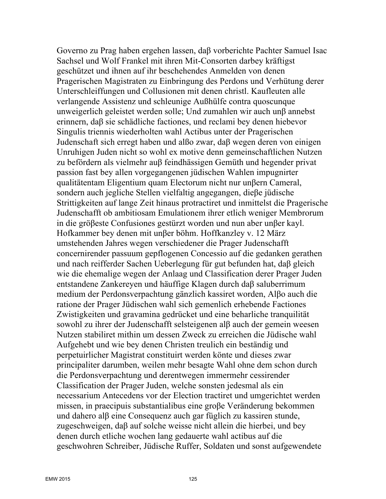Governo zu Prag haben ergehen lassen, daβ vorberichte Pachter Samuel Isac Sachsel und Wolf Frankel mit ihren Mit-Consorten darbey kräftigst geschützet und ihnen auf ihr beschehendes Anmelden von denen Pragerischen Magistraten zu Einbringung des Perdons und Verhütung derer Unterschleiffungen und Collusionen mit denen christl. Kaufleuten alle verlangende Assistenz und schleunige Außhülfe contra quoscunque unweigerlich geleistet werden solle; Und zumahlen wir auch unβ annebst erinnern, daβ sie schädliche factiones, und reclami bey denen hiebevor Singulis triennis wiederholten wahl Actibus unter der Pragerischen Judenschaft sich erregt haben und alßo zwar, daβ wegen deren von einigen Unruhigen Juden nicht so wohl ex motive denn gemeinschaftlichen Nutzen zu befördern als vielmehr auβ feindhässigen Gemüth und hegender privat passion fast bey allen vorgegangenen jüdischen Wahlen impugnirter qualitätentam Eligentium quam Electorum nicht nur unβern Cameral, sondern auch jegliche Stellen vielfaltig angegangen, dieβe jüdische Strittigkeiten auf lange Zeit hinaus protractiret und inmittelst die Pragerische Judenschafft ob ambitiosam Emulationem ihrer etlich weniger Membrorum in die gröβeste Confusiones gestürzt worden und nun aber unβer kayl. Hofkammer bey denen mit unβer böhm. Hoffkanzley v. 12 März umstehenden Jahres wegen verschiedener die Prager Judenschafft concernirender passuum gepflogenen Concessio auf die gedanken gerathen und nach reifferder Sachen Ueberlegung für gut befunden hat, daβ gleich wie die ehemalige wegen der Anlaag und Classification derer Prager Juden entstandene Zankereyen und häuffige Klagen durch daβ saluberrimum medium der Perdonsverpachtung gänzlich kassiret worden, Alβo auch die ratione der Prager Jüdischen wahl sich gemenlich erhebende Factiones Zwistigkeiten und gravamina gedrücket und eine beharliche tranquilität sowohl zu ihrer der Judenschafft selsteigenen alβ auch der gemein weesen Nutzen stabiliret mithin um dessen Zweck zu erreichen die Jüdische wahl Aufgehebt und wie bey denen Christen treulich ein beständig und perpetuirlicher Magistrat constituirt werden könte und dieses zwar principaliter darumben, weilen mehr besagte Wahl ohne dem schon durch die Perdonsverpachtung und derentwegen immermehr cessirender Classification der Prager Juden, welche sonsten jedesmal als ein necessarium Antecedens vor der Election tractiret und umgerichtet werden missen, in praecipuis substantialibus eine groβe Veränderung bekommen und dahero alβ eine Consequenz auch gar füglich zu kassiren stunde, zugeschweigen, daβ auf solche weisse nicht allein die hierbei, und bey denen durch etliche wochen lang gedauerte wahl actibus auf die geschwohren Schreiber, Jüdische Ruffer, Soldaten und sonst aufgewendete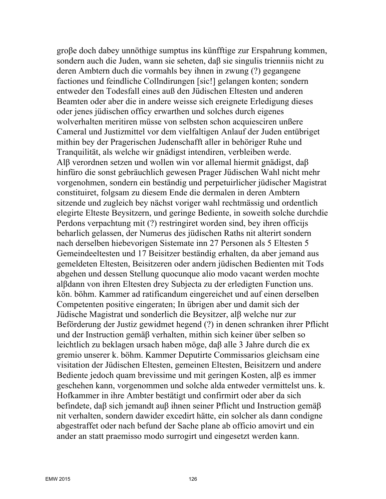groβe doch dabey unnöthige sumptus ins künfftige zur Erspahrung kommen, sondern auch die Juden, wann sie seheten, daβ sie singulis trienniis nicht zu deren Ambtern duch die vormahls bey ihnen in zwung (?) gegangene factiones und feindliche Collndirungen [sic!] gelangen konten; sondern entweder den Todesfall eines auß den Jüdischen Eltesten und anderen Beamten oder aber die in andere weisse sich ereignete Erledigung dieses oder jenes jüdischen officy erwarthen und solches durch eigenes wolverhalten meritiren müsse von selbsten schon acquiesciren unßere Cameral und Justizmittel vor dem vielfaltigen Anlauf der Juden entübriget mithin bey der Pragerischen Judenschafft aller in behöriger Ruhe und Tranquilität, als welche wir gnädigst intendiren, verbleiben werde. Alβ verordnen setzen und wollen win vor allemal hiermit gnädigst, daβ hinfüro die sonst gebräuchlich gewesen Prager Jüdischen Wahl nicht mehr vorgenohmen, sondern ein beständig und perpetuirlicher jüdischer Magistrat constituiret, folgsam zu diesem Ende die dermalen in deren Ambtern sitzende und zugleich bey nächst voriger wahl rechtmässig und ordentlich elegirte Elteste Beysitzern, und geringe Bediente, in soweith solche durchdie Perdons verpachtung mit (?) restringiret worden sind, bey ihren officijs beharlich gelassen, der Numerus des jüdischen Raths nit alterirt sondern nach derselben hiebevorigen Sistemate inn 27 Personen als 5 Eltesten 5 Gemeindeeltesten und 17 Beisitzer beständig erhalten, da aber jemand aus gemeldeten Eltesten, Beisitzeren oder andern jüdischen Bedienten mit Tods abgehen und dessen Stellung quocunque alio modo vacant werden mochte alβdann von ihren Eltesten drey Subjecta zu der erledigten Function uns. kön. böhm. Kammer ad ratificandum eingereichet und auf einen derselben Competenten positive eingeraten; In übrigen aber und damit sich der Jüdische Magistrat und sonderlich die Beysitzer, alβ welche nur zur Beförderung der Justiz gewidmet hegend (?) in denen schranken ihrer Pflicht und der Instruction gemäβ verhalten, mithin sich keiner über selben so leichtlich zu beklagen ursach haben möge, daβ alle 3 Jahre durch die ex gremio unserer k. böhm. Kammer Deputirte Commissarios gleichsam eine visitation der Jüdischen Eltesten, gemeinen Eltesten, Beisitzern und andere Bediente jedoch quam brevissime und mit geringen Kosten, alβ es immer geschehen kann, vorgenommen und solche alda entweder vermittelst uns. k. Hofkammer in ihre Ambter bestätigt und confirmirt oder aber da sich befindete, daβ sich jemandt auβ ihnen seiner Pflicht und Instruction gemäβ nit verhalten, sondern dawider excedirt hätte, ein solcher als dann condigne abgestraffet oder nach befund der Sache plane ab officio amovirt und ein ander an statt praemisso modo surrogirt und eingesetzt werden kann.